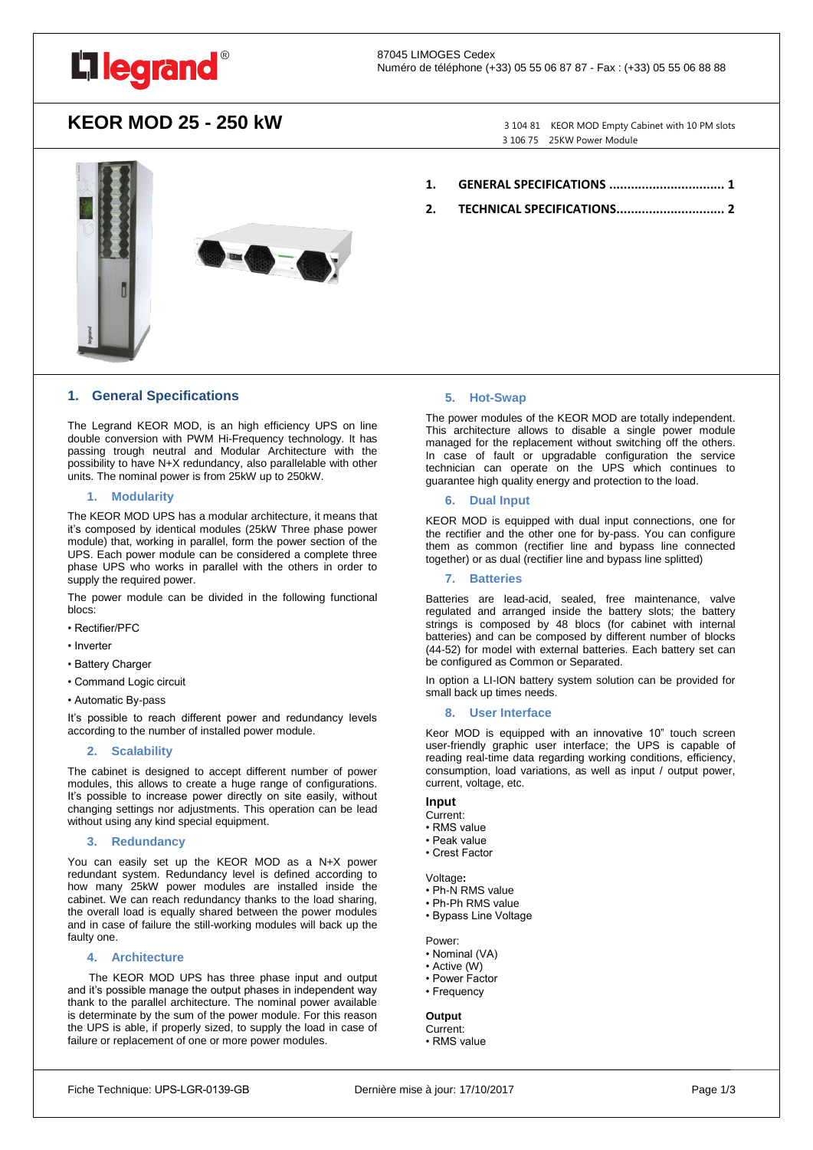

## **KEOR MOD 25 - 250 kW** 3 104 81 KEOR MOD Empty Cabinet with 10 PM slots

3 106 75 25KW Power Module



## **1. [GENERAL SPECIFICATIONS](#page-0-0) ................................ 1**

**2. [TECHNICAL SPECIFICATIONS..............................](#page-1-0) 2**

## <span id="page-0-0"></span>**1. General Specifications**

The Legrand KEOR MOD, is an high efficiency UPS on line double conversion with PWM Hi-Frequency technology. It has passing trough neutral and Modular Architecture with the possibility to have N+X redundancy, also parallelable with other units. The nominal power is from 25kW up to 250kW.

## **1. Modularity**

The KEOR MOD UPS has a modular architecture, it means that it's composed by identical modules (25kW Three phase power module) that, working in parallel, form the power section of the UPS. Each power module can be considered a complete three phase UPS who works in parallel with the others in order to supply the required power.

The power module can be divided in the following functional blocs:

- Rectifier/PFC
- Inverter
- Battery Charger
- Command Logic circuit
- Automatic By-pass

It's possible to reach different power and redundancy levels according to the number of installed power module.

## **2. Scalability**

The cabinet is designed to accept different number of power modules, this allows to create a huge range of configurations. It's possible to increase power directly on site easily, without changing settings nor adjustments. This operation can be lead without using any kind special equipment.

## **3. Redundancy**

You can easily set up the KEOR MOD as a N+X power redundant system. Redundancy level is defined according to how many 25kW power modules are installed inside the cabinet. We can reach redundancy thanks to the load sharing, the overall load is equally shared between the power modules and in case of failure the still-working modules will back up the faulty one.

#### **4. Architecture**

 The KEOR MOD UPS has three phase input and output and it's possible manage the output phases in independent way thank to the parallel architecture. The nominal power available is determinate by the sum of the power module. For this reason the UPS is able, if properly sized, to supply the load in case of failure or replacement of one or more power modules.

## **5. Hot-Swap**

The power modules of the KEOR MOD are totally independent. This architecture allows to disable a single power module managed for the replacement without switching off the others. In case of fault or upgradable configuration the service technician can operate on the UPS which continues to guarantee high quality energy and protection to the load.

## **6. Dual Input**

KEOR MOD is equipped with dual input connections, one for the rectifier and the other one for by-pass. You can configure them as common (rectifier line and bypass line connected together) or as dual (rectifier line and bypass line splitted)

## **7. Batteries**

Batteries are lead-acid, sealed, free maintenance, valve regulated and arranged inside the battery slots; the battery strings is composed by 48 blocs (for cabinet with internal batteries) and can be composed by different number of blocks (44-52) for model with external batteries. Each battery set can be configured as Common or Separated.

In option a LI-ION battery system solution can be provided for small back up times needs.

## **8. User Interface**

Keor MOD is equipped with an innovative 10" touch screen user-friendly graphic user interface; the UPS is capable of reading real-time data regarding working conditions, efficiency, consumption, load variations, as well as input / output power, current, voltage, etc.

## **Input**

- Current:
- RMS value
- Peak value • Crest Factor
- 

Voltage**:**

- Ph-N RMS value
- Ph-Ph RMS value
- Bypass Line Voltage
- Power:
- Nominal (VA)
- Active (W)
- Power Factor
- Frequency

## **Output**

Current: • RMS value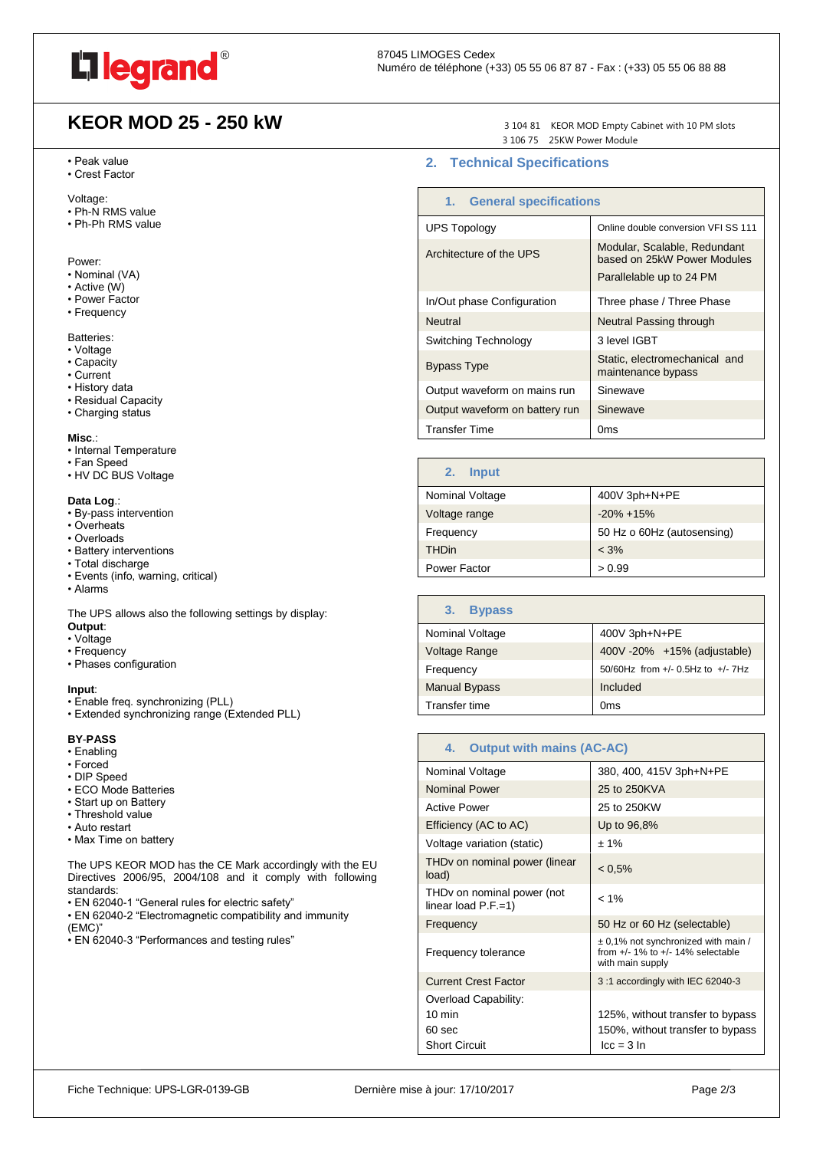

# **KEOR MOD 25 - 250 kW** 3 104 81 KEOR MOD Empty Cabinet with 10 PM slots

## • Peak value

• Crest Factor

Voltage:

- Ph-N RMS value
- Ph-Ph RMS value

## Power:

- Nominal (VA)
- Active (W)
- Power Factor
- Frequency

## Batteries:

- Voltage
- Capacity
- Current
- History data
- Residual Capacity
- Charging status

## **Misc**.:

- Internal Temperature
- Fan Speed
- HV DC BUS Voltage

## **Data Log**.:

- By-pass intervention
- Overheats
- Overloads
- Battery interventions
- Total discharge
- Events (info, warning, critical)
- Alarms

The UPS allows also the following settings by display: **Output**:

- Voltage
- Frequency
- Phases configuration

#### **Input**:

- Enable freq. synchronizing (PLL)
- Extended synchronizing range (Extended PLL)

## **BY**-**PASS**

- Enabling
- Forced
- DIP Speed
- ECO Mode Batteries
- Start up on Battery
- Threshold value
- Auto restart
- Max Time on battery

The UPS KEOR MOD has the CE Mark accordingly with the EU Directives 2006/95, 2004/108 and it comply with following standards:

- EN 62040-1 "General rules for electric safety"
- EN 62040-2 "Electromagnetic compatibility and immunity (EMC)"
- EN 62040-3 "Performances and testing rules"

3 106 75 25KW Power Module

## <span id="page-1-0"></span>**2. Technical Specifications**

| 1. General specifications      |                                                                                         |
|--------------------------------|-----------------------------------------------------------------------------------------|
| <b>UPS Topology</b>            | Online double conversion VFI SS 111                                                     |
| Architecture of the UPS        | Modular, Scalable, Redundant<br>based on 25kW Power Modules<br>Parallelable up to 24 PM |
| In/Out phase Configuration     | Three phase / Three Phase                                                               |
| <b>Neutral</b>                 | Neutral Passing through                                                                 |
| Switching Technology           | 3 level IGBT                                                                            |
| <b>Bypass Type</b>             | Static, electromechanical and<br>maintenance bypass                                     |
| Output waveform on mains run   | Sinewave                                                                                |
| Output waveform on battery run | Sinewave                                                                                |
| <b>Transfer Time</b>           | 0ms                                                                                     |

| <b>Input</b><br>2. |                            |
|--------------------|----------------------------|
| Nominal Voltage    | 400V 3ph+N+PE              |
| Voltage range      | $-20\% + 15\%$             |
| Frequency          | 50 Hz o 60Hz (autosensing) |
| <b>THDin</b>       | $< 3\%$                    |
| Power Factor       | > 0.99                     |

| <b>Bypass</b><br>3.  |                                            |
|----------------------|--------------------------------------------|
| Nominal Voltage      | 400V 3ph+N+PE                              |
| Voltage Range        | 400V-20% +15% (adjustable)                 |
| Frequency            | $50/60$ Hz from $+/- 0.5$ Hz to $+/- 7$ Hz |
| <b>Manual Bypass</b> | Included                                   |
| Transfer time        | Oms                                        |

| <b>Output with mains (AC-AC)</b><br>4.                           |                                                                                                  |
|------------------------------------------------------------------|--------------------------------------------------------------------------------------------------|
| Nominal Voltage                                                  | 380, 400, 415V 3ph+N+PE                                                                          |
| <b>Nominal Power</b>                                             | 25 to 250KVA                                                                                     |
| <b>Active Power</b>                                              | 25 to 250KW                                                                                      |
| Efficiency (AC to AC)                                            | Up to 96,8%                                                                                      |
| Voltage variation (static)                                       | $±1\%$                                                                                           |
| THDv on nominal power (linear<br>load)                           | $< 0.5\%$                                                                                        |
| THD <sub>v</sub> on nominal power (not<br>linear load $P.F.=1$ ) | $< 1\%$                                                                                          |
| Frequency                                                        | 50 Hz or 60 Hz (selectable)                                                                      |
| Frequency tolerance                                              | ± 0,1% not synchronized with main /<br>from $+/-$ 1% to $+/-$ 14% selectable<br>with main supply |
| <b>Current Crest Factor</b>                                      | 3:1 accordingly with IEC 62040-3                                                                 |
| Overload Capability:                                             |                                                                                                  |
| $10 \text{ min}$                                                 | 125%, without transfer to bypass                                                                 |
| 60 sec                                                           | 150%, without transfer to bypass                                                                 |
| <b>Short Circuit</b>                                             | $lcc = 3 ln$                                                                                     |